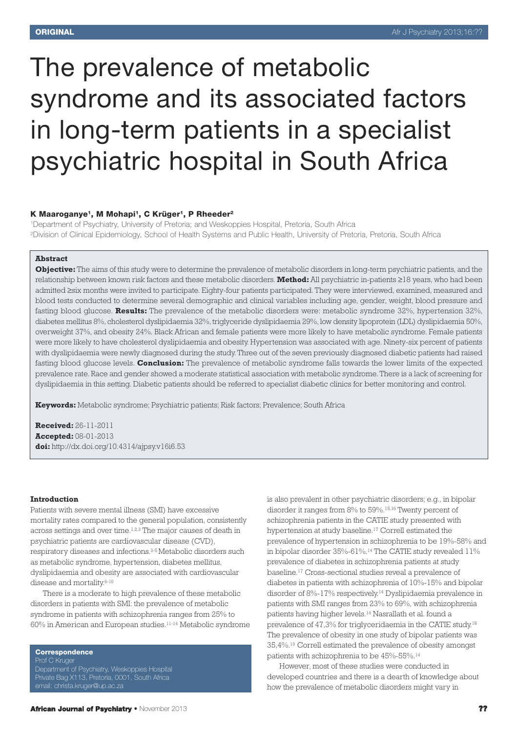# The prevalence of metabolic syndrome and its associated factors in long-term patients in a specialist psychiatric hospital in South Africa

# **K Maaroganye1, M Mohapi1, C Krüger1, P Rheeder2**

1Department of Psychiatry, University of Pretoria; and Weskoppies Hospital, Pretoria, South Africa 2Division of Clinical Epidemiology, School of Health Systems and Public Health, University of Pretoria, Pretoria, South Africa

# **Abstract**

**Objective:** The aims of this study were to determine the prevalence of metabolic disorders in long-term psychiatric patients, and the relationship between known risk factors and these metabolic disorders. **Method:**All psychiatric in-patients ≥18 years, who had been admitted ≥six months were invited to participate. Eighty-four patients participated. They were interviewed, examined, measured and blood tests conducted to determine several demographic and clinical variables including age, gender, weight, blood pressure and fasting blood glucose. **Results:** The prevalence of the metabolic disorders were: metabolic syndrome 32%, hypertension 32%, diabetes mellitus 8%, cholesterol dyslipidaemia 32%, triglyceride dyslipidaemia 29%, low density lipoprotein (LDL) dyslipidaemia 50%, overweight 37%, and obesity 24%. Black African and female patients were more likely to have metabolic syndrome. Female patients were more likely to have cholesterol dyslipidaemia and obesity. Hypertension was associated with age. Ninety-six percent of patients with dyslipidaemia were newly diagnosed during the study. Three out of the seven previously diagnosed diabetic patients had raised fasting blood glucose levels. **Conclusion:** The prevalence of metabolic syndrome falls towards the lower limits of the expected prevalence rate. Race and gender showed a moderate statistical association with metabolic syndrome.There is a lack of screening for dyslipidaemia in this setting. Diabetic patients should be referred to specialist diabetic clinics for better monitoring and control.

**Keywords:** Metabolic syndrome; Psychiatric patients; Risk factors; Prevalence; South Africa

**Received:** 26-11-2011 **Accepted:** 08-01-2013 **doi:** http://dx.doi.org/10.4314/ajpsy.v16i6.53

#### **Introduction**

Patients with severe mental illness (SMI) have excessive mortality rates compared to the general population, consistently across settings and over time. 1,2,3 The major causes of death in psychiatric patients are cardiovascular disease (CVD), respiratory diseases and infections. 3-5 Metabolic disorders such as metabolic syndrome, hypertension, diabetes mellitus, dyslipidaemia and obesity are associated with cardiovascular disease and mortality. 6-10

There is a moderate to high prevalence of these metabolic disorders in patients with SMI: the prevalence of metabolic syndrome in patients with schizophrenia ranges from 25% to 60% in American and European studies. 11-14 Metabolic syndrome

**Correspondence**

Prof C Kruge Department of Psychiatry, Weskoppies Hospital Private Bag X113, Pretoria, 0001, South Africa email: christa.kruger@up.ac.za

is also prevalent in other psychiatric disorders; e.g., in bipolar disorder it ranges from 8% to 59%. 15,16 Twenty percent of schizophrenia patients in the CATIE study presented with hypertension at study baseline. <sup>17</sup> Correll estimated the prevalence of hypertension in schizophrenia to be 19%-58% and in bipolar disorder 35%-61%. <sup>14</sup> The CATIE study revealed 11% prevalence of diabetes in schizophrenia patients at study baseline. <sup>17</sup> Cross-sectional studies reveal a prevalence of diabetes in patients with schizophrenia of 10%-15% and bipolar disorder of 8%-17% respectively. <sup>14</sup> Dyslipidaemia prevalence in patients with SMI ranges from 23% to 69%, with schizophrenia patients having higher levels. <sup>14</sup> Nasrallath et al. found a prevalence of 47,3% for triglyceridaemia in the CATIE study. 18 The prevalence of obesity in one study of bipolar patients was 35,4%. <sup>19</sup> Correll estimated the prevalence of obesity amongst patients with schizophrenia to be 45%-55%. 14

However, most of these studies were conducted in developed countries and there is a dearth of knowledge about how the prevalence of metabolic disorders might vary in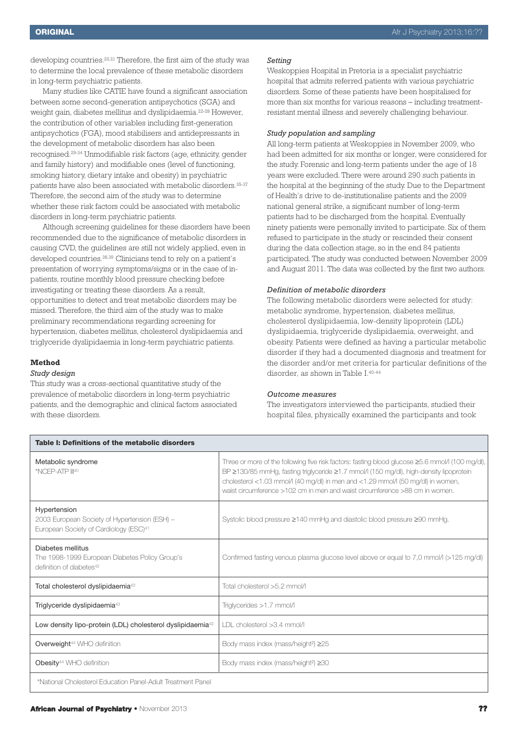developing countries.<sup>20,21</sup> Therefore, the first aim of the study was to determine the local prevalence of these metabolic disorders in long-term psychiatric patients.

Many studies like CATIE have found a significant association between some second-generation antipsychotics (SGA) and weight gain, diabetes mellitus and dyslipidaemia.<sup>22-28</sup> However, the contribution of other variables including first-generation antipsychotics (FGA), mood stabilisers and antidepressants in the development of metabolic disorders has also been recognised. 29-34 Unmodifiable risk factors (age, ethnicity, gender and family history) and modifiable ones (level of functioning, smoking history, dietary intake and obesity) in psychiatric patients have also been associated with metabolic disorders. 35-37 Therefore, the second aim of the study was to determine whether these risk factors could be associated with metabolic disorders in long-term psychiatric patients.

Although screening guidelines for these disorders have been recommended due to the significance of metabolic disorders in causing CVD, the guidelines are still not widely applied, even in developed countries. 38,39 Clinicians tend to rely on a patient's presentation of worrying symptoms/signs or in the case of inpatients, routine monthly blood pressure checking before investigating or treating these disorders. As a result, opportunities to detect and treat metabolic disorders may be missed. Therefore, the third aim of the study was to make preliminary recommendations regarding screening for hypertension, diabetes mellitus, cholesterol dyslipidaemia and triglyceride dyslipidaemia in long-term psychiatric patients.

#### **Method**

# *Study design*

This study was a cross-sectional quantitative study of the prevalence of metabolic disorders in long-term psychiatric patients, and the demographic and clinical factors associated with these disorders.

# *Setting*

Weskoppies Hospital in Pretoria is a specialist psychiatric hospital that admits referred patients with various psychiatric disorders. Some of these patients have been hospitalised for more than six months for various reasons – including treatmentresistant mental illness and severely challenging behaviour.

#### *Study population and sampling*

All long-term patients at Weskoppies in November 2009, who had been admitted for six months or longer, were considered for the study. Forensic and long-term patients under the age of 18 years were excluded. There were around 290 such patients in the hospital at the beginning of the study. Due to the Department of Health's drive to de-institutionalise patients and the 2009 national general strike, a significant number of long-term patients had to be discharged from the hospital. Eventually ninety patients were personally invited to participate. Six of them refused to participate in the study or rescinded their consent during the data collection stage, so in the end 84 patients participated. The study was conducted between November 2009 and August 2011. The data was collected by the first two authors.

# *Definition of metabolic disorders*

The following metabolic disorders were selected for study: metabolic syndrome, hypertension, diabetes mellitus, cholesterol dyslipidaemia, low-density lipoprotein (LDL) dyslipidaemia, triglyceride dyslipidaemia, overweight, and obesity. Patients were defined as having a particular metabolic disorder if they had a documented diagnosis and treatment for the disorder and/or met criteria for particular definitions of the disorder, as shown in Table I. 40-44

# *Outcome measures*

The investigators interviewed the participants, studied their hospital files, physically examined the participants and took

| Table I: Definitions of the metabolic disorders                                                                     |                                                                                                                                                                                                                                                                                                                                                                |  |  |
|---------------------------------------------------------------------------------------------------------------------|----------------------------------------------------------------------------------------------------------------------------------------------------------------------------------------------------------------------------------------------------------------------------------------------------------------------------------------------------------------|--|--|
| Metabolic syndrome<br>*NCFP-ATP III40                                                                               | Three or more of the following five risk factors: fasting blood glucose ≥5.6 mmol/l (100 mg/dl),<br>BP ≥130/85 mmHg, fasting triglyceride ≥1.7 mmol/l (150 mg/dl), high-density lipoprotein<br>cholesterol <1.03 mmol/l (40 mg/dl) in men and <1.29 mmol/l (50 mg/dl) in women,<br>waist circumference >102 cm in men and waist circumference >88 cm in women. |  |  |
| Hypertension<br>2003 European Society of Hypertension (ESH) -<br>European Society of Cardiology (ESC) <sup>41</sup> | Systolic blood pressure $\geq$ 140 mmHg and diastolic blood pressure $\geq$ 90 mmHg.                                                                                                                                                                                                                                                                           |  |  |
| Diabetes mellitus<br>The 1998-1999 European Diabetes Policy Group's<br>definition of diabetes <sup>42</sup>         | Confirmed fasting venous plasma glucose level above or equal to 7,0 mmol/l (>125 mg/dl)                                                                                                                                                                                                                                                                        |  |  |
| Total cholesterol dyslipidaemia <sup>43</sup>                                                                       | Total cholesterol >5.2 mmol/l                                                                                                                                                                                                                                                                                                                                  |  |  |
| Triglyceride dyslipidaemia <sup>43</sup>                                                                            | Triglycerides >1.7 mmol/l                                                                                                                                                                                                                                                                                                                                      |  |  |
| Low density lipo-protein (LDL) cholesterol dyslipidaemia <sup>43</sup>                                              | IDI cholesterol >3.4 mmol/l                                                                                                                                                                                                                                                                                                                                    |  |  |
| Overweight <sup>44</sup> WHO definition                                                                             | Body mass index (mass/height <sup>2</sup> ) ≥25                                                                                                                                                                                                                                                                                                                |  |  |
| Obesity <sup>44</sup> WHO definition                                                                                | Body mass index (mass/height <sup>2</sup> ) ≥30                                                                                                                                                                                                                                                                                                                |  |  |
| *National Cholesterol Education Panel-Adult Treatment Panel                                                         |                                                                                                                                                                                                                                                                                                                                                                |  |  |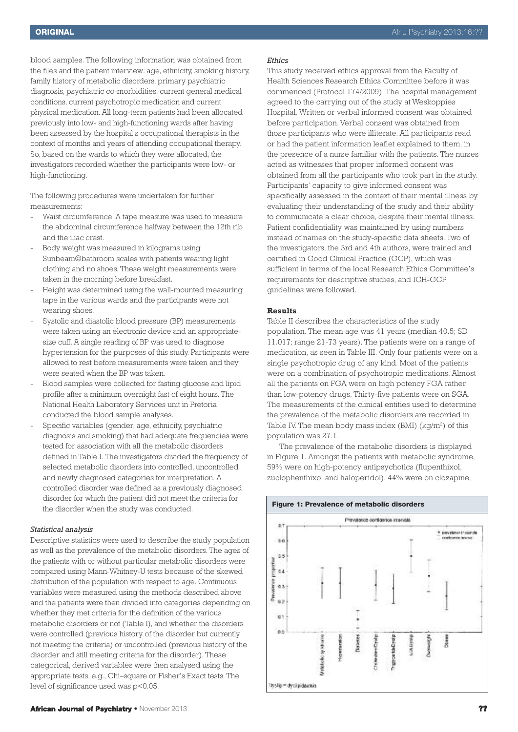blood samples. The following information was obtained from the files and the patient interview: age, ethnicity, smoking history, family history of metabolic disorders, primary psychiatric diagnosis, psychiatric co-morbidities, current general medical conditions, current psychotropic medication and current physical medication. All long-term patients had been allocated previously into low- and high-functioning wards after having been assessed by the hospital's occupational therapists in the context of months and years of attending occupational therapy. So, based on the wards to which they were allocated, the investigators recorded whether the participants were low- or high-functioning.

The following procedures were undertaken for further measurements:

- Waist circumference: A tape measure was used to measure the abdominal circumference halfway between the 12th rib and the iliac crest.
- Body weight was measured in kilograms using Sunbeam©bathroom scales with patients wearing light clothing and no shoes. These weight measurements were taken in the morning before breakfast.
- Height was determined using the wall-mounted measuring tape in the various wards and the participants were not wearing shoes.
- Systolic and diastolic blood pressure (BP) measurements were taken using an electronic device and an appropriatesize cuff. A single reading of BP was used to diagnose hypertension for the purposes of this study. Participants were allowed to rest before measurements were taken and they were seated when the BP was taken.
- Blood samples were collected for fasting glucose and lipid profile after a minimum overnight fast of eight hours. The National Health Laboratory Services unit in Pretoria conducted the blood sample analyses.
- Specific variables (gender, age, ethnicity, psychiatric diagnosis and smoking) that had adequate frequencies were tested for association with all the metabolic disorders defined in Table I. The investigators divided the frequency of selected metabolic disorders into controlled, uncontrolled and newly diagnosed categories for interpretation. A controlled disorder was defined as a previously diagnosed disorder for which the patient did not meet the criteria for the disorder when the study was conducted.

## *Statistical analysis*

Descriptive statistics were used to describe the study population as well as the prevalence of the metabolic disorders. The ages of the patients with or without particular metabolic disorders were compared using Mann-Whitney-U tests because of the skewed distribution of the population with respect to age. Continuous variables were measured using the methods described above and the patients were then divided into categories depending on whether they met criteria for the definition of the various metabolic disorders or not (Table I), and whether the disorders were controlled (previous history of the disorder but currently not meeting the criteria) or uncontrolled (previous history of the disorder and still meeting criteria for the disorder). These categorical, derived variables were then analysed using the appropriate tests, e.g., Chi–square or Fisher's Exact tests. The level of significance used was p<0.05.

### *Ethics*

This study received ethics approval from the Faculty of Health Sciences Research Ethics Committee before it was commenced (Protocol 174/2009). The hospital management agreed to the carrying out of the study at Weskoppies Hospital. Written or verbal informed consent was obtained before participation.Verbal consent was obtained from those participants who were illiterate. All participants read or had the patient information leaflet explained to them, in the presence of a nurse familiar with the patients. The nurses acted as witnesses that proper informed consent was obtained from all the participants who took part in the study. Participants' capacity to give informed consent was specifically assessed in the context of their mental illness by evaluating their understanding of the study and their ability to communicate a clear choice, despite their mental illness. Patient confidentiality was maintained by using numbers instead of names on the study-specific data sheets. Two of the investigators, the 3rd and 4th authors, were trained and certified in Good Clinical Practice (GCP), which was sufficient in terms of the local Research Ethics Committee's requirements for descriptive studies, and ICH-GCP guidelines were followed.

## **Results**

Table II describes the characteristics of the study population. The mean age was 41 years (median 40.5; SD 11.017; range 21-73 years). The patients were on a range of medication, as seen in Table III. Only four patients were on a single psychotropic drug of any kind. Most of the patients were on a combination of psychotropic medications. Almost all the patients on FGA were on high potency FGA rather than low-potency drugs. Thirty-five patients were on SGA. The measurements of the clinical entities used to determine the prevalence of the metabolic disorders are recorded in Table IV. The mean body mass index  $(BMI)$  (kg/m<sup>2</sup>) of this population was 27.1.

The prevalence of the metabolic disorders is displayed in Figure 1. Amongst the patients with metabolic syndrome, 59% were on high-potency antipsychotics (flupenthixol, zuclophenthixol and haloperidol), 44% were on clozapine,

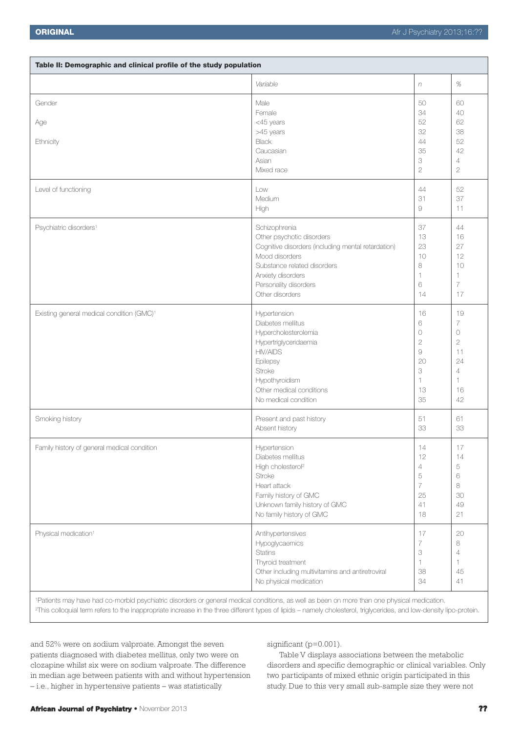| Table II: Demographic and clinical profile of the study population |                                                                                                                                                                                                                    |                                                                                |                                                                                                            |  |
|--------------------------------------------------------------------|--------------------------------------------------------------------------------------------------------------------------------------------------------------------------------------------------------------------|--------------------------------------------------------------------------------|------------------------------------------------------------------------------------------------------------|--|
|                                                                    | Variable                                                                                                                                                                                                           | $\eta$                                                                         | $\%$                                                                                                       |  |
| Gender<br>Age<br>Ethnicity                                         | Male<br>Female<br><45 years<br>>45 years<br><b>Black</b><br>Caucasian<br>Asian<br>Mixed race                                                                                                                       | 50<br>34<br>52<br>32<br>44<br>35<br>3<br>$\overline{2}$                        | 60<br>40<br>62<br>38<br>52<br>42<br>$\overline{4}$<br>$\overline{2}$                                       |  |
| Level of functioning                                               | Low<br>Medium<br>High                                                                                                                                                                                              | 44<br>31<br>$\Theta$                                                           | 52<br>37<br>11                                                                                             |  |
| Psychiatric disorders <sup>1</sup>                                 | Schizophrenia<br>Other psychotic disorders<br>Cognitive disorders (including mental retardation)<br>Mood disorders<br>Substance related disorders<br>Anxiety disorders<br>Personality disorders<br>Other disorders | 37<br>13<br>23<br>10<br>8<br>6<br>14                                           | 44<br>16<br>27<br>12<br>10<br>1<br>$\overline{7}$<br>17                                                    |  |
| Existing general medical condition (GMC) <sup>1</sup>              | Hypertension<br>Diabetes mellitus<br>Hypercholesterolemia<br>Hypertriglyceridaemia<br><b>HIV/AIDS</b><br>Epilepsy<br>Stroke<br>Hypothyroidism<br>Other medical conditions<br>No medical condition                  | 16<br>6<br>$\circ$<br>$\sqrt{2}$<br>$\overline{9}$<br>20<br>3<br>1<br>13<br>35 | 19<br>$\overline{7}$<br>$\bigcirc$<br>$\sqrt{2}$<br>11<br>24<br>$\overline{4}$<br>$\mathbf{1}$<br>16<br>42 |  |
| Smoking history                                                    | Present and past history<br>Absent history                                                                                                                                                                         | 51<br>33                                                                       | 61<br>33                                                                                                   |  |
| Family history of general medical condition                        | Hypertension<br>Diabetes mellitus<br>High cholesterol <sup>2</sup><br>Stroke<br>Heart attack<br>Family history of GMC<br>Unknown family history of GMC<br>No family history of GMC                                 | 14<br>12<br>$\overline{4}$<br>5<br>7<br>25<br>41<br>18                         | $17\,$<br>14<br>5<br>6<br>8<br>30<br>49<br>21                                                              |  |
| Physical medication <sup>1</sup>                                   | Antihypertensives<br>Hypoglycaemics<br>Statins<br>Thyroid treatment<br>Other including multivitamins and antiretroviral<br>No physical medication                                                                  | 17<br>7<br>3<br>38<br>34                                                       | 20<br>8<br>$\overline{4}$<br>1<br>45<br>41                                                                 |  |

1Patients may have had co-morbid psychiatric disorders or general medical conditions, as well as been on more than one physical medication. 2This colloquial term refers to the inappropriate increase in the three different types of lipids – namely cholesterol, triglycerides, and low-density lipo-protein.

and 52% were on sodium valproate. Amongst the seven patients diagnosed with diabetes mellitus, only two were on clozapine whilst six were on sodium valproate. The difference in median age between patients with and without hypertension – i.e., higher in hypertensive patients – was statistically

significant (p=0.001).

Table V displays associations between the metabolic disorders and specific demographic or clinical variables. Only two participants of mixed ethnic origin participated in this study. Due to this very small sub-sample size they were not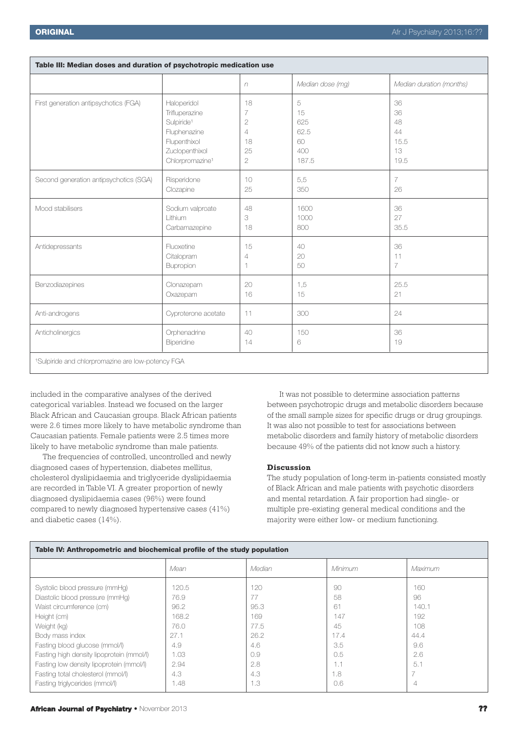| Table III: Median doses and duration of psychotropic medication use |                             |                |                  |                          |
|---------------------------------------------------------------------|-----------------------------|----------------|------------------|--------------------------|
|                                                                     |                             | $\Gamma$       | Median dose (mg) | Median duration (months) |
| First generation antipsychotics (FGA)                               | Haloperidol                 | 18             | 5                | 36                       |
|                                                                     | Trifluperazine              | 7              | 15               | 36                       |
|                                                                     | Sulpiride <sup>1</sup>      | 2              | 625              | 48                       |
|                                                                     | Fluphenazine                | 4              | 62.5             | 44                       |
|                                                                     | Flupenthixol                | 18             | 60               | 15.5                     |
|                                                                     | Zuclopenthixol              | 25             | 400              | 13                       |
|                                                                     | Chlorpromazine <sup>1</sup> | 2              | 187.5            | 19.5                     |
| Second generation antipsychotics (SGA)                              | Risperidone                 | 10             | 5,5              | $\overline{7}$           |
|                                                                     | Clozapine                   | 25             | 350              | 26                       |
| Mood stabilisers                                                    | Sodium valproate            | 48             | 1600             | 36                       |
|                                                                     | Lithium                     | 3              | 1000             | 27                       |
|                                                                     | Carbamazepine               | 18             | 800              | 35.5                     |
| Antidepressants                                                     | Fluoxetine                  | 15             | 40               | 36                       |
|                                                                     | Citalopram                  | $\overline{4}$ | 20               | 11                       |
|                                                                     | Bupropion                   | 1              | 50               | $\overline{7}$           |
| Benzodiazepines                                                     | Clonazepam                  | 20             | 1,5              | 25.5                     |
|                                                                     | Oxazepam                    | 16             | 15               | 21                       |
| Anti-androgens                                                      | Cyproterone acetate         | 11             | 300              | 24                       |
| Anticholinergics                                                    | Orphenadrine                | 40             | 150              | 36                       |
|                                                                     | Biperidine                  | 14             | 6                | 19                       |
| <sup>1</sup> Sulpiride and chlorpromazine are low-potency FGA       |                             |                |                  |                          |

included in the comparative analyses of the derived categorical variables. Instead we focused on the larger Black African and Caucasian groups. Black African patients were 2.6 times more likely to have metabolic syndrome than Caucasian patients. Female patients were 2.5 times more likely to have metabolic syndrome than male patients.

The frequencies of controlled, uncontrolled and newly diagnosed cases of hypertension, diabetes mellitus, cholesterol dyslipidaemia and triglyceride dyslipidaemia are recorded in Table VI. A greater proportion of newly diagnosed dyslipidaemia cases (96%) were found compared to newly diagnosed hypertensive cases (41%) and diabetic cases (14%).

It was not possible to determine association patterns between psychotropic drugs and metabolic disorders because of the small sample sizes for specific drugs or drug groupings. It was also not possible to test for associations between metabolic disorders and family history of metabolic disorders because 49% of the patients did not know such a history.

#### **Discussion**

The study population of long-term in-patients consisted mostly of Black African and male patients with psychotic disorders and mental retardation. A fair proportion had single- or multiple pre-existing general medical conditions and the majority were either low- or medium functioning.

| Table IV: Anthropometric and biochemical profile of the study population |       |        |         |         |
|--------------------------------------------------------------------------|-------|--------|---------|---------|
|                                                                          | Mean  | Median | Minimum | Maximum |
| Systolic blood pressure (mmHg)                                           | 120.5 | 120    | 90      | 160     |
| Diastolic blood pressure (mmHq)                                          | 76.9  |        | 58      | 96      |
| Waist circumference (cm)                                                 | 96.2  | 95.3   | 61      | 140.1   |
| Height (cm)                                                              | 168.2 | 169    | 147     | 192     |
| Weight (kg)                                                              | 76.0  | 77.5   | 45      | 108     |
| Body mass index                                                          | 27.1  | 26.2   | 17.4    | 44.4    |
| Fasting blood glucose (mmol/l)                                           | 4.9   | 4.6    | 3.5     | 9.6     |
| Fasting high density lipoprotein (mmol/l)                                | 1.03  | 0.9    | 0.5     | 2.6     |
| Fasting low density lipoprotein (mmol/l)                                 | 2.94  | 2.8    | 1.1     | 5.1     |
| Fasting total cholesterol (mmol/l)                                       | 4.3   | 4.3    | 1.8     |         |
| Fasting triglycerides (mmol/l)                                           | 1.48  | 1.3    | 0.6     | 4       |
|                                                                          |       |        |         |         |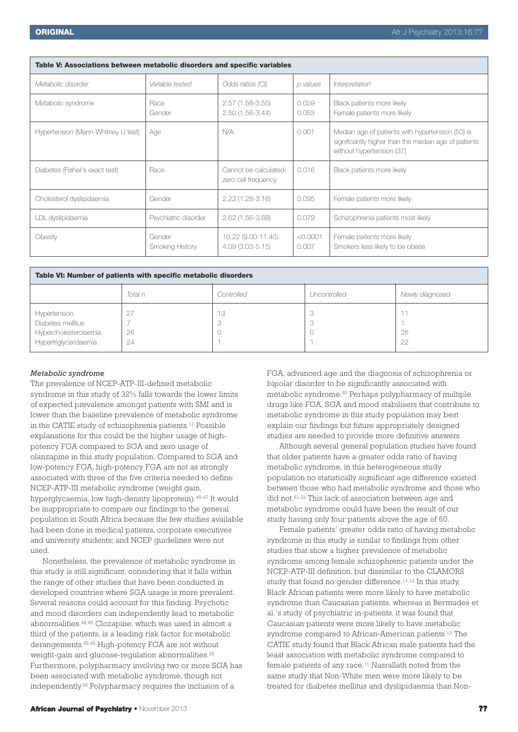| Table V: Associations between metabolic disorders and specific variables |                           |                                              |                   |                                                                                                                                       |
|--------------------------------------------------------------------------|---------------------------|----------------------------------------------|-------------------|---------------------------------------------------------------------------------------------------------------------------------------|
| Metabolic disorder                                                       | Variable tested           | Odds ratios (CI)                             | p values          | Interpretation                                                                                                                        |
| Metabolic syndrome                                                       | Race<br>Gender            | $2.57(1.58-3.55)$<br>$2.50(1.56-3.44)$       | 0.059<br>0.053    | Black patients more likely<br>Female patients more likely                                                                             |
| Hypertension (Mann-Whitney U test)                                       | Age                       | N/A                                          | 0.001             | Median age of patients with hypertension (50) is<br>significantly higher than the median age of patients<br>without hypertension (37) |
| Diabetes (Fisher's exact test)                                           | Race                      | Cannot be calculated:<br>zero cell frequency | 0.016             | Black patients more likely                                                                                                            |
| Cholesterol dyslipidaemia                                                | Gender                    | $2.22(1.28-3.16)$                            | 0.095             | Female patients more likely                                                                                                           |
| LDL dyslipidaemia                                                        | Psychiatric disorder      | $2.62(1.56-3.68)$                            | 0.079             | Schizophrenia patients most likely                                                                                                    |
| Obesity                                                                  | Gender<br>Smoking History | 10.22 (9.00-11.45)<br>$4.09(3.03 - 5.15)$    | < 0.0001<br>0.007 | Female patients more likely<br>Smokers less likely to be obese                                                                        |

| Table VI: Number of patients with specific metabolic disorders                      |                |            |              |                 |
|-------------------------------------------------------------------------------------|----------------|------------|--------------|-----------------|
|                                                                                     | Total n        | Controlled | Uncontrolled | Newly diagnosed |
| Hypertension<br>Diabetes mellitus<br>Hypercholesterolaemia<br>Hypertriglyceridaemia | 27<br>26<br>24 | 13         |              | 26<br>22        |

#### *Metabolic syndrome*

The prevalence of NCEP-ATP-III-defined metabolic syndrome in this study of 32% falls towards the lower limits of expected prevalence amongst patients with SMI and is lower than the baseline prevalence of metabolic syndrome in the CATIE study of schizophrenia patients. <sup>11</sup> Possible explanations for this could be the higher usage of highpotency FGA compared to SGA and zero usage of olanzapine in this study population. Compared to SGA and low-potency FGA, high-potency FGA are not as strongly associated with three of the five criteria needed to define NCEP-ATP-III metabolic syndrome (weight gain, hyperglycaemia, low high-density lipoprotein). 45-47 It would be inappropriate to compare our findings to the general population in South Africa because the few studies available had been done in medical patients, corporate executives and university students; and NCEP guidelines were not used.

Nonetheless, the prevalence of metabolic syndrome in this study is still significant, considering that it falls within the range of other studies that have been conducted in developed countries where SGA usage is more prevalent. Several reasons could account for this finding. Psychotic and mood disorders can independently lead to metabolic abnormalities. 48,49 Clozapine, which was used in almost a third of the patients, is a leading risk factor for metabolic derangements. 29,45 High-potency FGA are not without weight-gain and glucose-regulation abnormalities. 25 Furthermore, polypharmacy involving two or more SGA has been associated with metabolic syndrome, though not independently. <sup>50</sup> Polypharmacy requires the inclusion of a

**African Journal of Psychiatry •** November 2013 **??**

FGA, advanced age and the diagnosis of schizophrenia or bipolar disorder to be significantly associated with metabolic syndrome. <sup>50</sup> Perhaps polypharmacy of multiple drugs like FGA, SGA and mood stabilisers that contribute to metabolic syndrome in this study population may best explain our findings but future appropriately designed studies are needed to provide more definitive answers.

Although several general population studies have found that older patients have a greater odds ratio of having metabolic syndrome, in this heterogeneous study population no statistically significant age difference existed between those who had metabolic syndrome and those who did not. 51,52 This lack of association between age and metabolic syndrome could have been the result of our study having only four patients above the age of 60.

Female patients' greater odds ratio of having metabolic syndrome in this study is similar to findings from other studies that show a higher prevalence of metabolic syndrome among female schizophrenic patients under the NCEP-ATP-III definition, but dissimilar to the CLAMORS study that found no gender difference.<sup>11,12</sup> In this study, Black African patients were more likely to have metabolic syndrome than Caucasian patients, whereas in Bermudes et al.'s study of psychiatric in-patients, it was found that Caucasian patients were more likely to have metabolic syndrome compared to African-American patients. <sup>13</sup> The CATIE study found that Black African male patients had the least association with metabolic syndrome compared to female patients of any race. <sup>11</sup> Nasrallath noted from the same study that Non-White men were more likely to be treated for diabetes mellitus and dyslipidaemia than Non-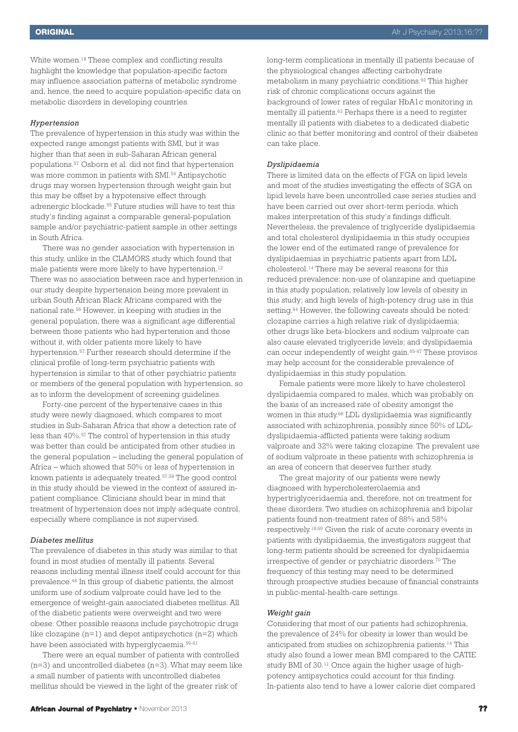White women. <sup>18</sup> These complex and conflicting results highlight the knowledge that population-specific factors may influence association patterns of metabolic syndrome and, hence, the need to acquire population-specific data on metabolic disorders in developing countries.

## *Hypertension*

The prevalence of hypertension in this study was within the expected range amongst patients with SMI, but it was higher than that seen in sub-Saharan African general populations. <sup>57</sup> Osborn et al. did not find that hypertension was more common in patients with SMI. <sup>54</sup> Antipsychotic drugs may worsen hypertension through weight gain but this may be offset by a hypotensive effect through adrenergic blockade. <sup>55</sup> Future studies will have to test this study's finding against a comparable general-population sample and/or psychiatric-patient sample in other settings in South Africa.

There was no gender association with hypertension in this study, unlike in the CLAMORS study which found that male patients were more likely to have hypertension. 12 There was no association between race and hypertension in our study despite hypertension being more prevalent in urban South African Black Africans compared with the national rate. <sup>56</sup> However, in keeping with studies in the general population, there was a significant age differential between those patients who had hypertension and those without it, with older patients more likely to have hypertension. <sup>57</sup> Further research should determine if the clinical profile of long-term psychiatric patients with hypertension is similar to that of other psychiatric patients or members of the general population with hypertension, so as to inform the development of screening guidelines.

Forty-one percent of the hypertensive cases in this study were newly diagnosed, which compares to most studies in Sub-Saharan Africa that show a detection rate of less than 40%. <sup>57</sup> The control of hypertension in this study was better than could be anticipated from other studies in the general population – including the general population of Africa – which showed that 50% or less of hypertension in known patients is adequately treated. 57,58 The good control in this study should be viewed in the context of assured inpatient compliance. Clinicians should bear in mind that treatment of hypertension does not imply adequate control, especially where compliance is not supervised.

## *Diabetes mellitus*

The prevalence of diabetes in this study was similar to that found in most studies of mentally ill patients. Several reasons including mental illness itself could account for this prevalence. <sup>48</sup> In this group of diabetic patients, the almost uniform use of sodium valproate could have led to the emergence of weight-gain associated diabetes mellitus. All of the diabetic patients were overweight and two were obese. Other possible reasons include psychotropic drugs like clozapine  $(n=1)$  and depot antipsychotics  $(n=2)$  which have been associated with hyperglycaemia. 59-61

There were an equal number of patients with controlled (n=3) and uncontrolled diabetes (n=3). What may seem like a small number of patients with uncontrolled diabetes mellitus should be viewed in the light of the greater risk of

long-term complications in mentally ill patients because of the physiological changes affecting carbohydrate metabolism in many psychiatric conditions. <sup>62</sup> This higher risk of chronic complications occurs against the background of lower rates of regular HbA1c monitoring in mentally ill patients. <sup>63</sup> Perhaps there is a need to register mentally ill patients with diabetes to a dedicated diabetic clinic so that better monitoring and control of their diabetes can take place.

## *Dyslipidaemia*

There is limited data on the effects of FGA on lipid levels and most of the studies investigating the effects of SGA on lipid levels have been uncontrolled case series studies and have been carried out over short-term periods, which makes interpretation of this study's findings difficult. Nevertheless, the prevalence of triglyceride dyslipidaemia and total cholesterol dyslipidaemia in this study occupies the lower end of the estimated range of prevalence for dyslipidaemias in psychiatric patients apart from LDL cholesterol. <sup>14</sup> There may be several reasons for this reduced prevalence: non-use of olanzapine and quetiapine in this study population; relatively low levels of obesity in this study; and high levels of high-potency drug use in this setting. <sup>64</sup> However, the following caveats should be noted: clozapine carries a high relative risk of dyslipidaemia; other drugs like beta-blockers and sodium valproate can also cause elevated triglyceride levels; and dyslipidaemia can occur independently of weight gain. 65-67 These provisos may help account for the considerable prevalence of dyslipidaemias in this study population.

Female patients were more likely to have cholesterol dyslipidaemia compared to males, which was probably on the basis of an increased rate of obesity amongst the women in this study. <sup>68</sup> LDL dyslipidaemia was significantly associated with schizophrenia, possibly since 50% of LDLdyslipidaemia-afflicted patients were taking sodium valproate and 32% were taking clozapine. The prevalent use of sodium valproate in these patients with schizophrenia is an area of concern that deserves further study.

The great majority of our patients were newly diagnosed with hypercholesterolaemia and hypertriglyceridaemia and, therefore, not on treatment for these disorders. Two studies on schizophrenia and bipolar patients found non-treatment rates of 88% and 58% respectively. 18,69 Given the risk of acute coronary events in patients with dyslipidaemia, the investigators suggest that long-term patients should be screened for dyslipidaemia irrespective of gender or psychiatric disorders. <sup>70</sup> The frequency of this testing may need to be determined through prospective studies because of financial constraints in public-mental-health-care settings.

# *Weight gain*

Considering that most of our patients had schizophrenia, the prevalence of 24% for obesity is lower than would be anticipated from studies on schizophrenia patients. <sup>14</sup> This study also found a lower mean BMI compared to the CATIE study BMI of 30. <sup>11</sup> Once again the higher usage of highpotency antipsychotics could account for this finding. In-patients also tend to have a lower calorie diet compared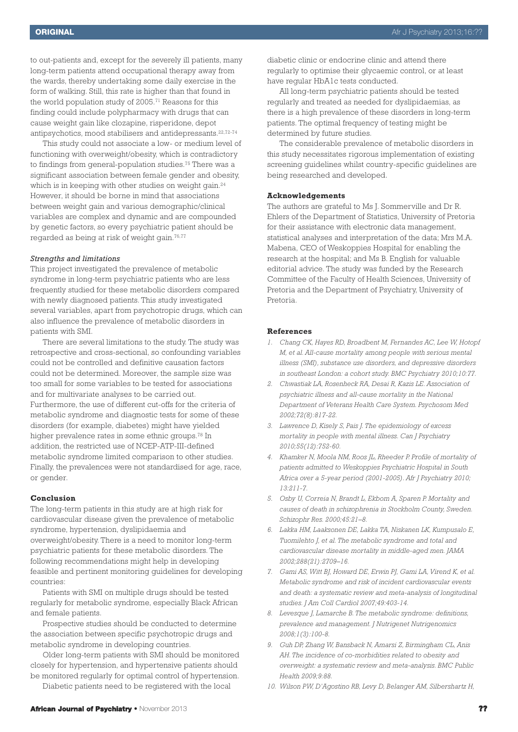to out-patients and, except for the severely ill patients, many long-term patients attend occupational therapy away from the wards, thereby undertaking some daily exercise in the form of walking. Still, this rate is higher than that found in the world population study of 2005. <sup>71</sup> Reasons for this finding could include polypharmacy with drugs that can cause weight gain like clozapine, risperidone, depot antipsychotics, mood stabilisers and antidepressants. 22,72-74

This study could not associate a low- or medium level of functioning with overweight/obesity, which is contradictory to findings from general-population studies. <sup>75</sup> There was a significant association between female gender and obesity, which is in keeping with other studies on weight gain.<sup>24</sup> However, it should be borne in mind that associations between weight gain and various demographic/clinical variables are complex and dynamic and are compounded by genetic factors, so every psychiatric patient should be regarded as being at risk of weight gain. 76,77

#### *Strengths and limitations*

This project investigated the prevalence of metabolic syndrome in long-term psychiatric patients who are less frequently studied for these metabolic disorders compared with newly diagnosed patients. This study investigated several variables, apart from psychotropic drugs, which can also influence the prevalence of metabolic disorders in patients with SMI.

There are several limitations to the study. The study was retrospective and cross-sectional, so confounding variables could not be controlled and definitive causation factors could not be determined. Moreover, the sample size was too small for some variables to be tested for associations and for multivariate analyses to be carried out. Furthermore, the use of different cut-offs for the criteria of metabolic syndrome and diagnostic tests for some of these disorders (for example, diabetes) might have yielded higher prevalence rates in some ethnic groups. <sup>78</sup> In addition, the restricted use of NCEP-ATP-III-defined metabolic syndrome limited comparison to other studies. Finally, the prevalences were not standardised for age, race, or gender.

# **Conclusion**

The long-term patients in this study are at high risk for cardiovascular disease given the prevalence of metabolic syndrome, hypertension, dyslipidaemia and overweight/obesity. There is a need to monitor long-term psychiatric patients for these metabolic disorders. The following recommendations might help in developing feasible and pertinent monitoring guidelines for developing countries:

Patients with SMI on multiple drugs should be tested regularly for metabolic syndrome, especially Black African and female patients.

Prospective studies should be conducted to determine the association between specific psychotropic drugs and metabolic syndrome in developing countries.

Older long-term patients with SMI should be monitored closely for hypertension, and hypertensive patients should be monitored regularly for optimal control of hypertension.

Diabetic patients need to be registered with the local

All long-term psychiatric patients should be tested regularly and treated as needed for dyslipidaemias, as there is a high prevalence of these disorders in long-term patients. The optimal frequency of testing might be determined by future studies.

The considerable prevalence of metabolic disorders in this study necessitates rigorous implementation of existing screening guidelines whilst country-specific guidelines are being researched and developed.

## **Acknowledgements**

The authors are grateful to Ms J. Sommerville and Dr R. Ehlers of the Department of Statistics, University of Pretoria for their assistance with electronic data management, statistical analyses and interpretation of the data; Mrs M.A. Mabena, CEO of Weskoppies Hospital for enabling the research at the hospital; and Ms B. English for valuable editorial advice. The study was funded by the Research Committee of the Faculty of Health Sciences, University of Pretoria and the Department of Psychiatry, University of Pretoria.

### **References**

- *1. Chang CK, Hayes RD, Broadbent M, Fernandes AC, Lee W, Hotopf M, et al. All-cause mortality among people with serious mental illness (SMI), substance use disorders, and depressive disorders in southeast London: a cohort study. BMC Psychiatry 2010;10:77.*
- *2. Chwastiak LA, Rosenheck RA, Desai R, Kazis LE. Association of psychiatric illness and all-cause mortality in the National Department of Veterans Health Care System. Psychosom Med 2002;72(8):817-22.*
- *3. Lawrence D, Kisely S, Pais J. The epidemiology of excess mortality in people with mental illness. Can J Psychiatry 2010;55(12):752-60.*
- *4. Khamker N, Moola NM, Roos JL, Rheeder P. Profile of mortality of patients admitted to Weskoppies Psychiatric Hospital in South Africa over a 5-year period (2001-2005). Afr J Psychiatry 2010; 13:211-7.*
- *5. Osby U, Correia N, Brandt L, Ekbom A, Sparen P. Mortality and causes of death in schizophrenia in Stockholm County, Sweden. Schizophr Res. 2000;45:21–8.*
- *6. Lakka HM, Laaksonen DE, Lakka TA, Niskanen LK, Kumpusalo E, Tuomilehto J, et al. The metabolic syndrome and total and cardiovascular disease mortality in middle-aged men. JAMA 2002;288(21):2709–16.*
- *7. Gami AS, Witt BJ, Howard DE, Erwin PJ, Gami LA, Virend K, et al. Metabolic syndrome and risk of incident cardiovascular events and death: a systematic review and meta-analysis of longitudinal studies. J Am Coll Cardiol 2007;49:403-14.*
- *8. Levesque J, Lamarche B. The metabolic syndrome: definitions, prevalence and management. J Nutrigenet Nutrigenomics 2008;1(3):100-8.*
- *9. Guh DP, Zhang W, Bansback N, Amarsi Z, Birmingham CL, Anis AH. The incidence of co-morbidities related to obesity and overweight: a systematic review and meta-analysis. BMC Public Health 2009;9:88.*
- *10. Wilson PW, D'Agostino RB, Levy D, Belanger AM, Silbershartz H,*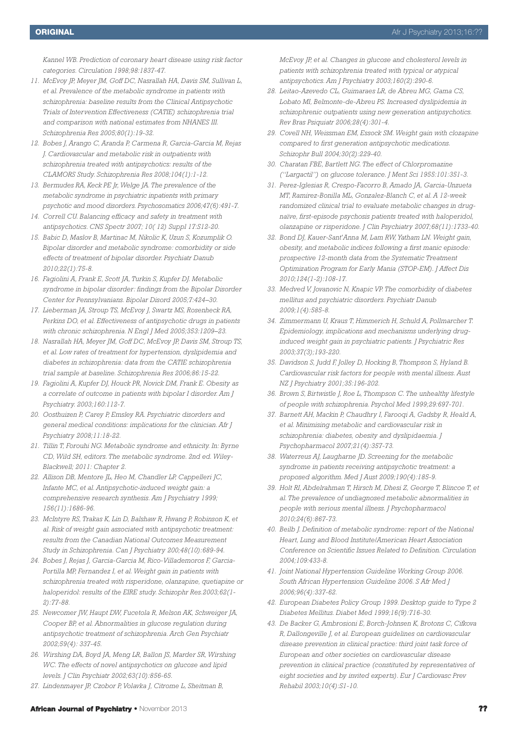*Kannel WB. Prediction of coronary heart disease using risk factor categories. Circulation 1998;98:1837-47.*

- *11. McEvoy JP, Meyer JM, Goff DC, Nasrallah HA, Davis SM, Sullivan L, et al. Prevalence of the metabolic syndrome in patients with schizophrenia: baseline results from the Clinical Antipsychotic Trials of Intervention Effectiveness (CATIE) schizophrenia trial and comparison with national estimates from NHANES III. Schizophrenia Res 2005;80(1):19-32.*
- *12. Bobes J, Arango C, Aranda P, Carmena R, Garcia-Garcia M, Rejas J. Cardiovascular and metabolic risk in outpatients with schizophrenia treated with antipsychotics: results of the CLAMORS Study. Schizophrenia Res 2008;104(1):1-12.*
- *13. Bermudes RA, Keck PE Jr, Welge JA. The prevalence of the metabolic syndrome in psychiatric inpatients with primary psychotic and mood disorders. Psychosomatics 2006;47(6):491-7.*
- *14. Correll CU. Balancing efficacy and safety in treatment with antipsychotics. CNS Spectr 2007; 10( 12) Suppl 17:S12-20.*
- *15. Babic D, Maslov B, Martinac M, Nikolic K, Uzun S, Kozumplik O. Bipolar disorder and metabolic syndrome: comorbidity or side effects of treatment of bipolar disorder. Psychiatr Danub 2010;22(1):75-8.*
- *16. Fagiolini A, Frank E, Scott JA, Turkin S, Kupfer DJ. Metabolic syndrome in bipolar disorder: findings from the Bipolar Disorder Center for Pennsylvanians. Bipolar Disord 2005;7:424–30.*
- *17. Lieberman JA, Stroup TS, McEvoy J, Swartz MS, Rosenheck RA, Perkins DO, et al. Effectiveness of antipsychotic drugs in patients with chronic schizophrenia. N Engl J Med 2005;353:1209–23.*
- *18. Nasrallah HA, Meyer JM, Goff DC, McEvoy JP, Davis SM, Stroup TS, et al. Low rates of treatment for hypertension, dyslipidemia and diabetes in schizophrenia: data from the CATIE schizophrenia trial sample at baseline. Schizophrenia Res 2006;86:15-22.*
- *19. Fagiolini A, Kupfer DJ, Houck PR, Novick DM, Frank E. Obesity as a correlate of outcome in patients with bipolar I disorder. Am J Psychiatry. 2003;160:112-7.*
- *20. Oosthuizen P, Carey P, Emsley RA. Psychiatric disorders and general medical conditions: implications for the clinician. Afr J Psychiatry 2008;11:18-22.*
- *21. Tillin T, Forouhi NG. Metabolic syndrome and ethnicity. In: Byrne CD, Wild SH, editors. The metabolic syndrome. 2nd ed. Wiley-Blackwell; 2011: Chapter 2.*
- *22. Allison DB, Mentore JL, Heo M, Chandler LP, Cappelleri JC, Infante MC, et al. Antipsychotic-induced weight gain: a comprehensive research synthesis. Am J Psychiatry 1999; 156(11):1686-96.*
- *23. McIntyre RS, Trakas K, Lin D, Balshaw R, Hwang P, Robinson K, et al. Risk of weight gain associated with antipsychotic treatment: results from the Canadian National Outcomes Measurement Study in Schizophrenia. Can J Psychiatry 200;48(10):689-94.*
- *24. Bobes J, Rejas J, Garcia-Garcia M, Rico-Villademoros F, Garcia-Portilla MP, Fernandez I, et al. Weight gain in patients with schizophrenia treated with risperidone, olanzapine, quetiapine or haloperidol: results of the EIRE study. Schizophr Res.2003;62(1- 2):77-88.*
- *25. Newcomer JW, Haupt DW, Fucetola R, Melson AK, Schweiger JA, Cooper BP, et al. Abnormalities in glucose regulation during antipsychotic treatment of schizophrenia. Arch Gen Psychiatr 2002;59(4): 337-45.*
- *26. Wirshing DA, Boyd JA, Meng LR, Ballon JS, Marder SR, Wirshing WC. The effects of novel antipsychotics on glucose and lipid levels. J Clin Psychiatr 2002;63(10):856-65.*
- *27. Lindenmayer JP, Czobor P, Volavka J, Citrome L, Sheitman B,*

*McEvoy JP, et al. Changes in glucose and cholesterol levels in patients with schizophrenia treated with typical or atypical antipsychotics. Am J Psychiatry 2003;160(2):290-6.*

- *28. Leitao-Azevedo CL, Guimaraes LR, de Abreu MG, Gama CS, Lobato MI, Belmonte-de-Abreu PS. Increased dyslipidemia in schizophrenic outpatients using new generation antipsychotics. Rev Bras Psiquiatr 2006;28(4):301-4.*
- *29. Covell NH, Weissman EM, Essock SM. Weight gain with clozapine compared to first generation antipsychotic medications. Schizophr Bull 2004;30(2):229-40.*
- *30. Charatan FBE, Bartlett NG. The effect of Chlorpromazine ("Largactil") on glucose tolerance. J Ment Sci 1955:101:351-3.*
- *31. Perez-Iglesias R, Crespo-Facorro B, Amado JA, Garcia-Unzueta MT, Ramirez-Bonilla ML, Gonzalez-Blanch C, et al. A 12-week randomized clinical trial to evaluate metabolic changes in drugnaïve, first-episode psychosis patients treated with haloperidol, olanzapine or risperidone. J Clin Psychiatry 2007;68(11):1733-40.*
- *32. Bond DJ, Kauer-Sant'Anna M, Lam RW, Yatham LN. Weight gain, obesity, and metabolic indices following a first manic episode: prospective 12-month data from the Systematic Treatment Optimization Program for Early Mania (STOP-EM). J Affect Dis 2010;124(1-2):108-17.*
- *33. Medved V, Jovanovic N, Knapic VP. The comorbidity of diabetes mellitus and psychiatric disorders. Psychiatr Danub 2009;1(4):585-8.*
- *34. Zimmermann U, Kraus T, Himmerich H, Schuld A, Pollmarcher T. Epidemiology, implications and mechanisms underlying druginduced weight gain in psychiatric patients. J Psychiatric Res 2003;37(3);193-220.*
- *35. Davidson S, Judd F, Jolley D, Hocking B, Thompson S, Hyland B. Cardiovascular risk factors for people with mental illness. Aust NZ J Psychiatry 2001;35:196-202.*
- *36. Brown S, Birtwistle J, Roe L, Thompson C. The unhealthy lifestyle of people with schizophrenia. Psychol Med 1999;29:697-701.*
- *37. Barnett AH, Mackin P, Chaudhry I, Farooqi A, Gadsby R, Heald A, et al. Minimising metabolic and cardiovascular risk in schizophrenia: diabetes, obesity and dyslipidaemia. J Psychopharmacol 2007;21(4):357-73.*
- *38. Waterreus AJ, Laugharne JD. Screening for the metabolic syndrome in patients receiving antipsychotic treatment: a proposed algorithm. Med J Aust 2009;190(4):185-9.*
- *39. Holt RI, Abdelrahman T, Hirsch M, Dhesi Z, George T, Blincoe T, et al. The prevalence of undiagnosed metabolic abnormalities in people with serious mental illness. J Psychopharmacol 2010;24(6):867-73.*
- *40. Beilb J. Definition of metabolic syndrome: report of the National Heart, Lung and Blood Institute/American Heart Association Conference on Scientific Issues Related to Definition. Circulation 2004;109:433-8.*
- *41. Joint National Hypertension Guideline Working Group 2006. South African Hypertension Guideline 2006. S Afr Med J 2006;96(4):337-62.*
- *42. European Diabetes Policy Group 1999. Desktop guide to Type 2 Diabetes Mellitus. Diabet Med 1999;16(9):716-30.*
- *43. De Backer G, Ambrosioni E, Borch-Johnsen K, Brotons C, Cifkova R, Dallongeville J, et al. European guidelines on cardiovascular disease prevention in clinical practice: third joint task force of European and other societies on cardiovascular disease prevention in clinical practice (constituted by representatives of eight societies and by invited experts). Eur J Cardiovasc Prev Rehabil 2003;10(4):S1-10.*